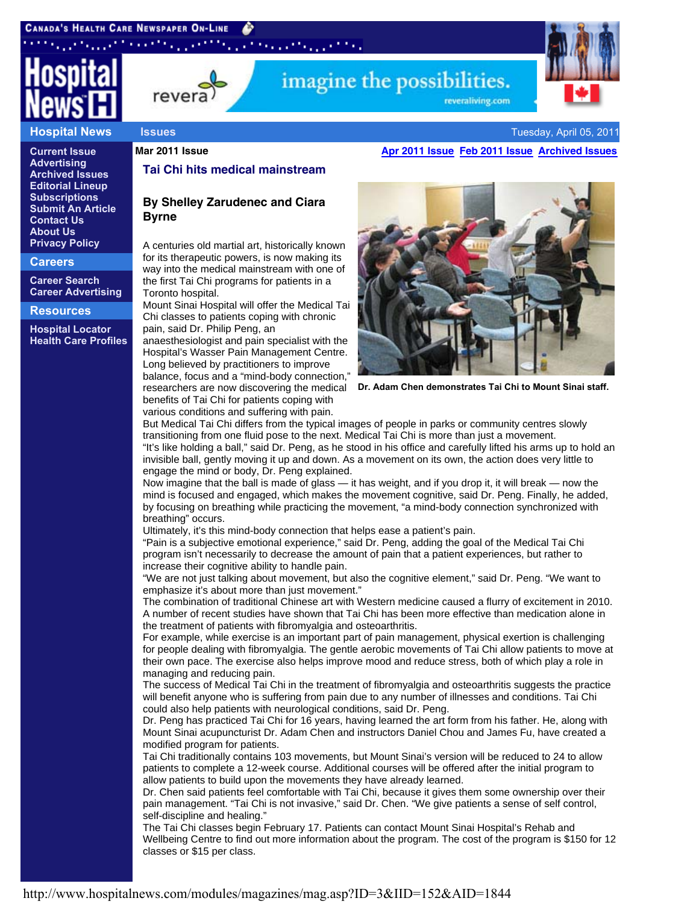# ta a shi ne an tina



#### **Hospital News**

**Current Issue Advertising Archived Issues Editorial Lineup Subscriptions Submit An Article Contact Us About Us Privacy Policy**

**Careers**

**Career Search Career Advertising**

#### **Resources**

**Hospital Locator Health Care Profiles**

revera

#### **Tai Chi hits medical mainstream**

### **By Shelley Zarudenec and Ciara Byrne**

A centuries old martial art, historically known for its therapeutic powers, is now making its way into the medical mainstream with one of the first Tai Chi programs for patients in a Toronto hospital.

Mount Sinai Hospital will offer the Medical Tai Chi classes to patients coping with chronic pain, said Dr. Philip Peng, an

anaesthesiologist and pain specialist with the Hospital's Wasser Pain Management Centre. Long believed by practitioners to improve balance, focus and a "mind-body connection," researchers are now discovering the medical benefits of Tai Chi for patients coping with various conditions and suffering with pain.

## **Issues Tuesday, April 05, 2011 Issues Tuesday, April 05, 2011**

**Mar 2011 Issue Apr 2011 Issue Feb 2011 Issue Archived Issues**

reveraliving.com



**Dr. Adam Chen demonstrates Tai Chi to Mount Sinai staff.**

But Medical Tai Chi differs from the typical images of people in parks or community centres slowly transitioning from one fluid pose to the next. Medical Tai Chi is more than just a movement. "It's like holding a ball," said Dr. Peng, as he stood in his office and carefully lifted his arms up to hold an invisible ball, gently moving it up and down. As a movement on its own, the action does very little to engage the mind or body, Dr. Peng explained.

imagine the possibilities.

Now imagine that the ball is made of glass — it has weight, and if you drop it, it will break — now the mind is focused and engaged, which makes the movement cognitive, said Dr. Peng. Finally, he added, by focusing on breathing while practicing the movement, "a mind-body connection synchronized with breathing" occurs.

Ultimately, it's this mind-body connection that helps ease a patient's pain.

"Pain is a subjective emotional experience," said Dr. Peng, adding the goal of the Medical Tai Chi program isn't necessarily to decrease the amount of pain that a patient experiences, but rather to increase their cognitive ability to handle pain.

"We are not just talking about movement, but also the cognitive element," said Dr. Peng. "We want to emphasize it's about more than just movement."

The combination of traditional Chinese art with Western medicine caused a flurry of excitement in 2010. A number of recent studies have shown that Tai Chi has been more effective than medication alone in the treatment of patients with fibromyalgia and osteoarthritis.

For example, while exercise is an important part of pain management, physical exertion is challenging for people dealing with fibromyalgia. The gentle aerobic movements of Tai Chi allow patients to move at their own pace. The exercise also helps improve mood and reduce stress, both of which play a role in managing and reducing pain.

The success of Medical Tai Chi in the treatment of fibromyalgia and osteoarthritis suggests the practice will benefit anyone who is suffering from pain due to any number of illnesses and conditions. Tai Chi could also help patients with neurological conditions, said Dr. Peng.

Dr. Peng has practiced Tai Chi for 16 years, having learned the art form from his father. He, along with Mount Sinai acupuncturist Dr. Adam Chen and instructors Daniel Chou and James Fu, have created a modified program for patients.

Tai Chi traditionally contains 103 movements, but Mount Sinai's version will be reduced to 24 to allow patients to complete a 12-week course. Additional courses will be offered after the initial program to allow patients to build upon the movements they have already learned.

Dr. Chen said patients feel comfortable with Tai Chi, because it gives them some ownership over their pain management. "Tai Chi is not invasive," said Dr. Chen. "We give patients a sense of self control, self-discipline and healing."

The Tai Chi classes begin February 17. Patients can contact Mount Sinai Hospital's Rehab and Wellbeing Centre to find out more information about the program. The cost of the program is \$150 for 12 classes or \$15 per class.